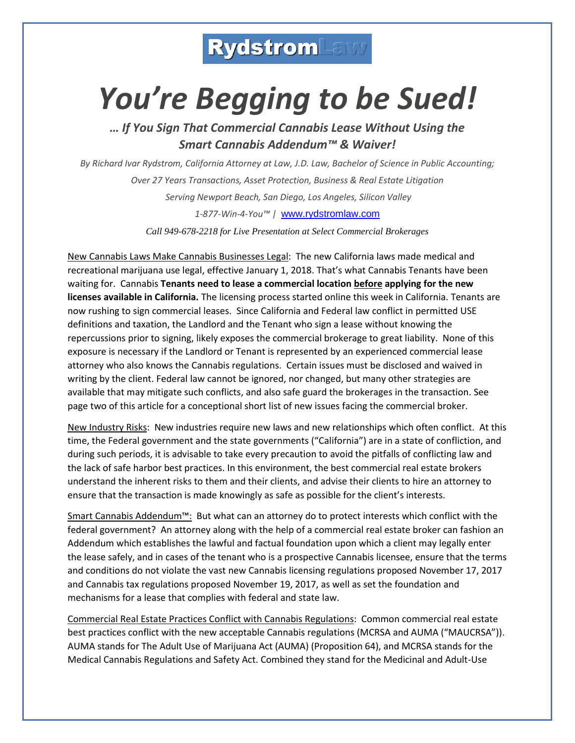## **RydstromLaws**

## *You're Begging to be Sued!*

*… If You Sign That Commercial Cannabis Lease Without Using the Smart Cannabis Addendum™ & Waiver!*

*By Richard Ivar Rydstrom, California Attorney at Law, J.D. Law, Bachelor of Science in Public Accounting; Over 27 Years Transactions, Asset Protection, Business & Real Estate Litigation Serving Newport Beach, San Diego, Los Angeles, Silicon Valley 1-877-Win-4-You™ |* [www.rydstromlaw.com](http://www.rydstromlaw.com/)

*Call 949-678-2218 for Live Presentation at Select Commercial Brokerages*

New Cannabis Laws Make Cannabis Businesses Legal: The new California laws made medical and recreational marijuana use legal, effective January 1, 2018. That's what Cannabis Tenants have been waiting for. Cannabis **Tenants need to lease a commercial location before applying for the new licenses available in California.** The licensing process started online this week in California. Tenants are now rushing to sign commercial leases. Since California and Federal law conflict in permitted USE definitions and taxation, the Landlord and the Tenant who sign a lease without knowing the repercussions prior to signing, likely exposes the commercial brokerage to great liability. None of this exposure is necessary if the Landlord or Tenant is represented by an experienced commercial lease attorney who also knows the Cannabis regulations. Certain issues must be disclosed and waived in writing by the client. Federal law cannot be ignored, nor changed, but many other strategies are available that may mitigate such conflicts, and also safe guard the brokerages in the transaction. See page two of this article for a conceptional short list of new issues facing the commercial broker.

New Industry Risks: New industries require new laws and new relationships which often conflict. At this time, the Federal government and the state governments ("California") are in a state of confliction, and during such periods, it is advisable to take every precaution to avoid the pitfalls of conflicting law and the lack of safe harbor best practices. In this environment, the best commercial real estate brokers understand the inherent risks to them and their clients, and advise their clients to hire an attorney to ensure that the transaction is made knowingly as safe as possible for the client's interests.

Smart Cannabis Addendum™: But what can an attorney do to protect interests which conflict with the federal government? An attorney along with the help of a commercial real estate broker can fashion an Addendum which establishes the lawful and factual foundation upon which a client may legally enter the lease safely, and in cases of the tenant who is a prospective Cannabis licensee, ensure that the terms and conditions do not violate the vast new Cannabis licensing regulations proposed November 17, 2017 and Cannabis tax regulations proposed November 19, 2017, as well as set the foundation and mechanisms for a lease that complies with federal and state law.

Commercial Real Estate Practices Conflict with Cannabis Regulations: Common commercial real estate best practices conflict with the new acceptable Cannabis regulations (MCRSA and AUMA ("MAUCRSA")). AUMA stands for The Adult Use of Marijuana Act (AUMA) (Proposition 64), and MCRSA stands for the Medical Cannabis Regulations and Safety Act. Combined they stand for the Medicinal and Adult-Use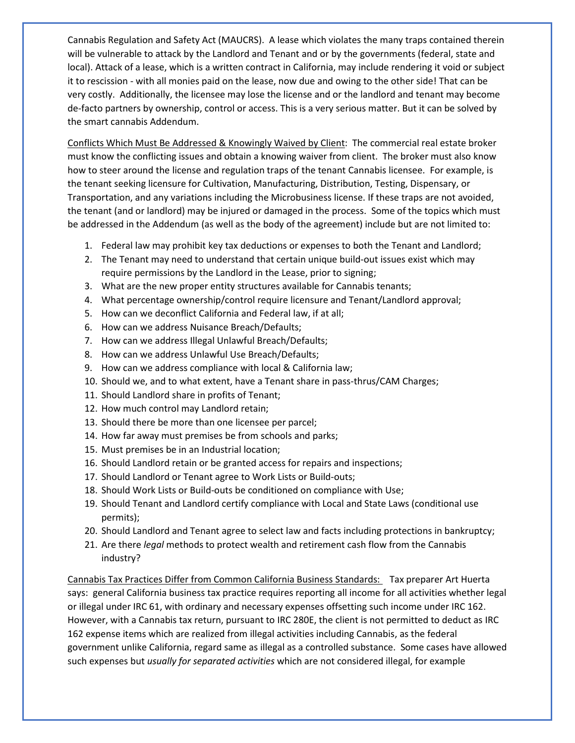Cannabis Regulation and Safety Act (MAUCRS). A lease which violates the many traps contained therein will be vulnerable to attack by the Landlord and Tenant and or by the governments (federal, state and local). Attack of a lease, which is a written contract in California, may include rendering it void or subject it to rescission - with all monies paid on the lease, now due and owing to the other side! That can be very costly. Additionally, the licensee may lose the license and or the landlord and tenant may become de-facto partners by ownership, control or access. This is a very serious matter. But it can be solved by the smart cannabis Addendum.

Conflicts Which Must Be Addressed & Knowingly Waived by Client: The commercial real estate broker must know the conflicting issues and obtain a knowing waiver from client. The broker must also know how to steer around the license and regulation traps of the tenant Cannabis licensee. For example, is the tenant seeking licensure for Cultivation, Manufacturing, Distribution, Testing, Dispensary, or Transportation, and any variations including the Microbusiness license. If these traps are not avoided, the tenant (and or landlord) may be injured or damaged in the process. Some of the topics which must be addressed in the Addendum (as well as the body of the agreement) include but are not limited to:

- 1. Federal law may prohibit key tax deductions or expenses to both the Tenant and Landlord;
- 2. The Tenant may need to understand that certain unique build-out issues exist which may require permissions by the Landlord in the Lease, prior to signing;
- 3. What are the new proper entity structures available for Cannabis tenants;
- 4. What percentage ownership/control require licensure and Tenant/Landlord approval;
- 5. How can we deconflict California and Federal law, if at all;
- 6. How can we address Nuisance Breach/Defaults;
- 7. How can we address Illegal Unlawful Breach/Defaults;
- 8. How can we address Unlawful Use Breach/Defaults;
- 9. How can we address compliance with local & California law;
- 10. Should we, and to what extent, have a Tenant share in pass-thrus/CAM Charges;
- 11. Should Landlord share in profits of Tenant;
- 12. How much control may Landlord retain;
- 13. Should there be more than one licensee per parcel;
- 14. How far away must premises be from schools and parks;
- 15. Must premises be in an Industrial location;
- 16. Should Landlord retain or be granted access for repairs and inspections;
- 17. Should Landlord or Tenant agree to Work Lists or Build-outs;
- 18. Should Work Lists or Build-outs be conditioned on compliance with Use;
- 19. Should Tenant and Landlord certify compliance with Local and State Laws (conditional use permits);
- 20. Should Landlord and Tenant agree to select law and facts including protections in bankruptcy;
- 21. Are there *legal* methods to protect wealth and retirement cash flow from the Cannabis industry?

Cannabis Tax Practices Differ from Common California Business Standards: Tax preparer Art Huerta says: general California business tax practice requires reporting all income for all activities whether legal or illegal under IRC 61, with ordinary and necessary expenses offsetting such income under IRC 162. However, with a Cannabis tax return, pursuant to IRC 280E, the client is not permitted to deduct as IRC 162 expense items which are realized from illegal activities including Cannabis, as the federal government unlike California, regard same as illegal as a controlled substance. Some cases have allowed such expenses but *usually for separated activities* which are not considered illegal, for example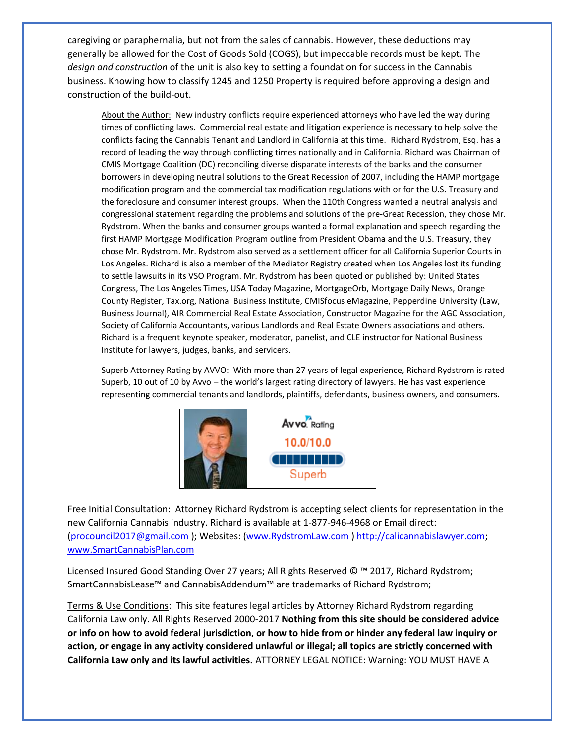caregiving or paraphernalia, but not from the sales of cannabis. However, these deductions may generally be allowed for the Cost of Goods Sold (COGS), but impeccable records must be kept. The *design and construction* of the unit is also key to setting a foundation for success in the Cannabis business. Knowing how to classify 1245 and 1250 Property is required before approving a design and construction of the build-out.

About the Author: New industry conflicts require experienced attorneys who have led the way during times of conflicting laws. Commercial real estate and litigation experience is necessary to help solve the conflicts facing the Cannabis Tenant and Landlord in California at this time. Richard Rydstrom, Esq. has a record of leading the way through conflicting times nationally and in California. Richard was Chairman of CMIS Mortgage Coalition (DC) reconciling diverse disparate interests of the banks and the consumer borrowers in developing neutral solutions to the Great Recession of 2007, including the HAMP mortgage modification program and the commercial tax modification regulations with or for the U.S. Treasury and the foreclosure and consumer interest groups. When the 110th Congress wanted a neutral analysis and congressional statement regarding the problems and solutions of the pre-Great Recession, they chose Mr. Rydstrom. When the banks and consumer groups wanted a formal explanation and speech regarding the first HAMP Mortgage Modification Program outline from President Obama and the U.S. Treasury, they chose Mr. Rydstrom. Mr. Rydstrom also served as a settlement officer for all California Superior Courts in Los Angeles. Richard is also a member of the Mediator Registry created when Los Angeles lost its funding to settle lawsuits in its VSO Program. Mr. Rydstrom has been quoted or published by: United States Congress, The Los Angeles Times, USA Today Magazine, MortgageOrb, Mortgage Daily News, Orange County Register, Tax.org, National Business Institute, CMISfocus eMagazine, Pepperdine University (Law, Business Journal), AIR Commercial Real Estate Association, Constructor Magazine for the AGC Association, Society of California Accountants, various Landlords and Real Estate Owners associations and others. Richard is a frequent keynote speaker, moderator, panelist, and CLE instructor for National Business Institute for lawyers, judges, banks, and servicers.

Superb Attorney Rating by AVVO: With more than 27 years of legal experience, Richard Rydstrom is rated Superb, 10 out of 10 by Avvo – the world's largest rating directory of lawyers. He has vast experience representing commercial tenants and landlords, plaintiffs, defendants, business owners, and consumers.



Free Initial Consultation: Attorney Richard Rydstrom is accepting select clients for representation in the new California Cannabis industry. Richard is available at 1-877-946-4968 or Email direct: [\(procouncil2017@gmail.com](mailto:procouncil2017@gmail.com) ); Websites: [\(www.RydstromLaw.com](http://www.rydstromlaw.com/) ) [http://calicannabislawyer.com;](http://calicannabislawyer.com/) [www.SmartCannabisPlan.com](http://www.smartcannabisplan.com/) 

Licensed Insured Good Standing Over 27 years; All Rights Reserved © ™ 2017, Richard Rydstrom; SmartCannabisLease™ and CannabisAddendum™ are trademarks of Richard Rydstrom;

Terms & Use Conditions: This site features legal articles by Attorney Richard Rydstrom regarding California Law only. All Rights Reserved 2000-2017 **Nothing from this site should be considered advice or info on how to avoid federal jurisdiction, or how to hide from or hinder any federal law inquiry or action, or engage in any activity considered unlawful or illegal; all topics are strictly concerned with California Law only and its lawful activities.** ATTORNEY LEGAL NOTICE: Warning: YOU MUST HAVE A